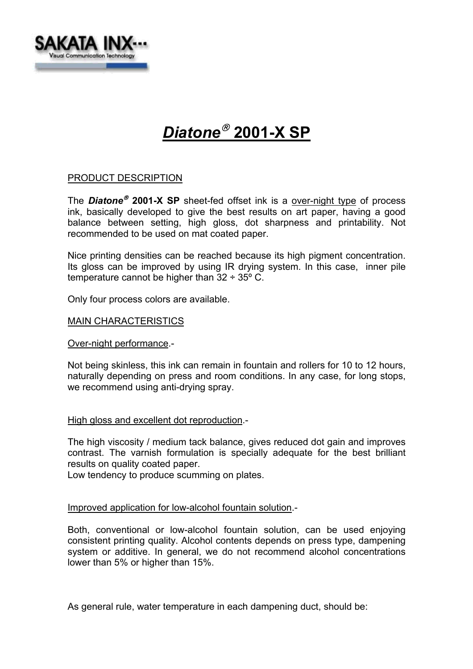

# *Diatone* **2001-X SP**

## PRODUCT DESCRIPTION

The *Diatone* **2001-X SP** sheet-fed offset ink is a over-night type of process ink, basically developed to give the best results on art paper, having a good balance between setting, high gloss, dot sharpness and printability. Not recommended to be used on mat coated paper.

Nice printing densities can be reached because its high pigment concentration. Its gloss can be improved by using IR drying system. In this case, inner pile temperature cannot be higher than  $32 \div 35^{\circ}$  C.

Only four process colors are available.

### MAIN CHARACTERISTICS

Over-night performance.-

Not being skinless, this ink can remain in fountain and rollers for 10 to 12 hours, naturally depending on press and room conditions. In any case, for long stops, we recommend using anti-drying spray.

#### High gloss and excellent dot reproduction.-

The high viscosity / medium tack balance, gives reduced dot gain and improves contrast. The varnish formulation is specially adequate for the best brilliant results on quality coated paper.

Low tendency to produce scumming on plates.

#### Improved application for low-alcohol fountain solution.-

Both, conventional or low-alcohol fountain solution, can be used enjoying consistent printing quality. Alcohol contents depends on press type, dampening system or additive. In general, we do not recommend alcohol concentrations lower than 5% or higher than 15%.

As general rule, water temperature in each dampening duct, should be: